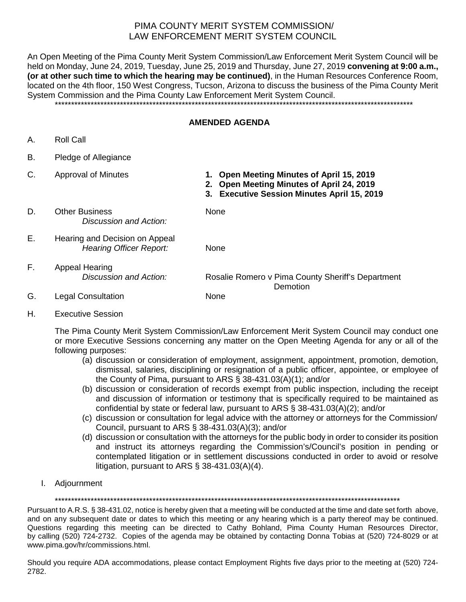## PIMA COUNTY MERIT SYSTEM COMMISSION/ LAW ENFORCEMENT MERIT SYSTEM COUNCIL

An Open Meeting of the Pima County Merit System Commission/Law Enforcement Merit System Council will be held on Monday, June 24, 2019, Tuesday, June 25, 2019 and Thursday, June 27, 2019 **convening at 9:00 a.m., (or at other such time to which the hearing may be continued)**, in the Human Resources Conference Room, located on the 4th floor, 150 West Congress, Tucson, Arizona to discuss the business of the Pima County Merit System Commission and the Pima County Law Enforcement Merit System Council. \*\*\*\*\*\*\*\*\*\*\*\*\*\*\*\*\*\*\*\*\*\*\*\*\*\*\*\*\*\*\*\*\*\*\*\*\*\*\*\*\*\*\*\*\*\*\*\*\*\*\*\*\*\*\*\*\*\*\*\*\*\*\*\*\*\*\*\*\*\*\*\*\*\*\*\*\*\*\*\*\*\*\*\*\*\*\*\*\*\*\*\*\*\*\*\*\*\*\*\*\*\*\*\*\*\*\*\*\*\*

## **AMENDED AGENDA**

- A. Roll Call
- B. Pledge of Allegiance
- 
- C. Approval of Minutes **1. Open Meeting Minutes of April 15, 2019**
	- **2. Open Meeting Minutes of April 24, 2019**
	- **3. Executive Session Minutes April 15, 2019**
- D. Other Business None *Discussion and Action:*
- E. Hearing and Decision on Appeal *Hearing Officer Report:* None
- F. Appeal Hearing *Discussion and Action:* Rosalie Romero v Pima County Sheriff's Department Demotion
- G. Legal Consultation None
- H. Executive Session

The Pima County Merit System Commission/Law Enforcement Merit System Council may conduct one or more Executive Sessions concerning any matter on the Open Meeting Agenda for any or all of the following purposes:

- (a) discussion or consideration of employment, assignment, appointment, promotion, demotion, dismissal, salaries, disciplining or resignation of a public officer, appointee, or employee of the County of Pima, pursuant to ARS § 38-431.03(A)(1); and/or
- (b) discussion or consideration of records exempt from public inspection, including the receipt and discussion of information or testimony that is specifically required to be maintained as confidential by state or federal law, pursuant to ARS § 38-431.03(A)(2); and/or
- (c) discussion or consultation for legal advice with the attorney or attorneys for the Commission/ Council, pursuant to ARS § 38-431.03(A)(3); and/or
- (d) discussion or consultation with the attorneys for the public body in order to consider its position and instruct its attorneys regarding the Commission's/Council's position in pending or contemplated litigation or in settlement discussions conducted in order to avoid or resolve litigation, pursuant to ARS § 38-431.03(A)(4).
- I. Adjournment

\*\*\*\*\*\*\*\*\*\*\*\*\*\*\*\*\*\*\*\*\*\*\*\*\*\*\*\*\*\*\*\*\*\*\*\*\*\*\*\*\*\*\*\*\*\*\*\*\*\*\*\*\*\*\*\*\*\*\*\*\*\*\*\*\*\*\*\*\*\*\*\*\*\*\*\*\*\*\*\*\*\*\*\*\*\*\*\*\*\*\*\*\*\*\*\*\*\*\*\*\*\*\*\*\*\*

Pursuant to A.R.S. § 38-431.02, notice is hereby given that a meeting will be conducted at the time and date set forth above, and on any subsequent date or dates to which this meeting or any hearing which is a party thereof may be continued. Questions regarding this meeting can be directed to Cathy Bohland, Pima County Human Resources Director, by calling (520) 724-2732. Copies of the agenda may be obtained by contacting Donna Tobias at (520) 724-8029 or at www.pima.gov/hr/commissions.html.

Should you require ADA accommodations, please contact Employment Rights five days prior to the meeting at (520) 724- 2782.